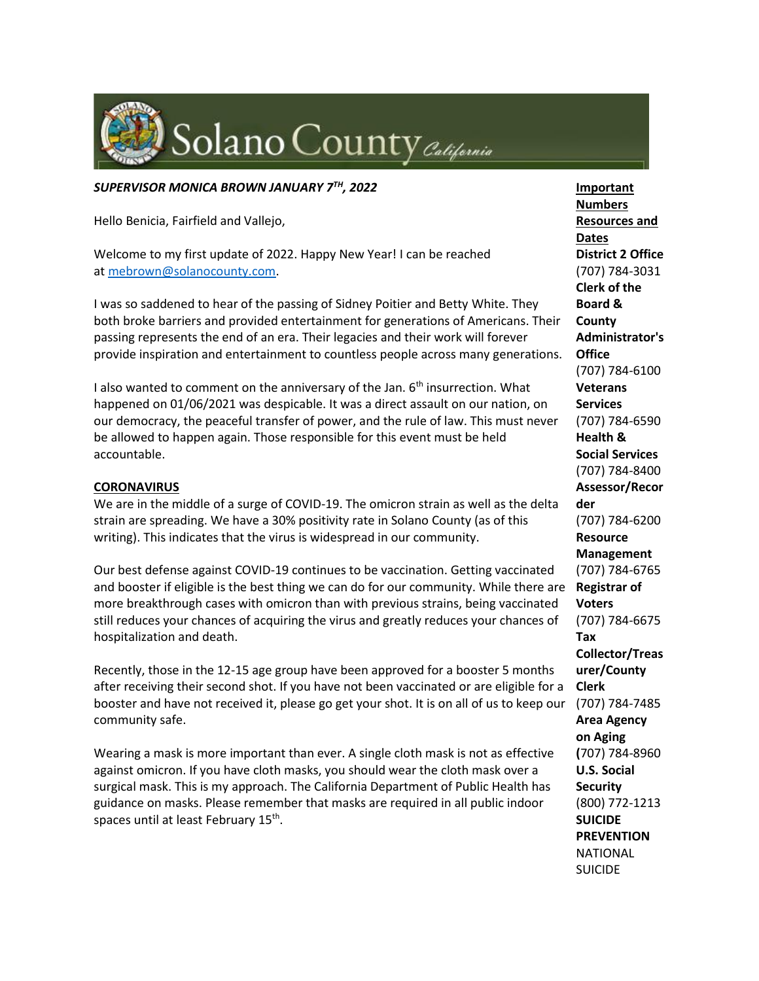

#### *SUPERVISOR MONICA BROWN JANUARY 7TH, 2022*

Hello Benicia, Fairfield and Vallejo,

Welcome to my first update of 2022. Happy New Year! I can be reached at [mebrown@solanocounty.com.](mailto:mebrown@solanocounty.com)

I was so saddened to hear of the passing of Sidney Poitier and Betty White. They both broke barriers and provided entertainment for generations of Americans. Their passing represents the end of an era. Their legacies and their work will forever provide inspiration and entertainment to countless people across many generations.

I also wanted to comment on the anniversary of the Jan. 6<sup>th</sup> insurrection. What happened on 01/06/2021 was despicable. It was a direct assault on our nation, on our democracy, the peaceful transfer of power, and the rule of law. This must never be allowed to happen again. Those responsible for this event must be held accountable.

#### **CORONAVIRUS**

We are in the middle of a surge of COVID-19. The omicron strain as well as the delta strain are spreading. We have a 30% positivity rate in Solano County (as of this writing). This indicates that the virus is widespread in our community.

Our best defense against COVID-19 continues to be vaccination. Getting vaccinated and booster if eligible is the best thing we can do for our community. While there are more breakthrough cases with omicron than with previous strains, being vaccinated still reduces your chances of acquiring the virus and greatly reduces your chances of hospitalization and death.

Recently, those in the 12-15 age group have been approved for a booster 5 months after receiving their second shot. If you have not been vaccinated or are eligible for a booster and have not received it, please go get your shot. It is on all of us to keep our community safe.

Wearing a mask is more important than ever. A single cloth mask is not as effective against omicron. If you have cloth masks, you should wear the cloth mask over a surgical mask. This is my approach. The California Department of Public Health has guidance on masks. Please remember that masks are required in all public indoor spaces until at least February 15<sup>th</sup>.

**Important Numbers Resources and Dates District 2 Office** (707) 784-3031 **Clerk of the Board & County Administrator's Office** (707) 784-6100 **Veterans Services** (707) 784-6590 **Health & Social Services** (707) 784-8400 **Assessor/Recor der** (707) 784-6200 **Resource Management** (707) 784-6765 **Registrar of Voters** (707) 784-6675 **Tax Collector/Treas urer/County Clerk** (707) 784-7485 **Area Agency on Aging (**707) 784-8960 **U.S. Social Security** (800) 772-1213 **SUICIDE PREVENTION** NATIONAL SUICIDE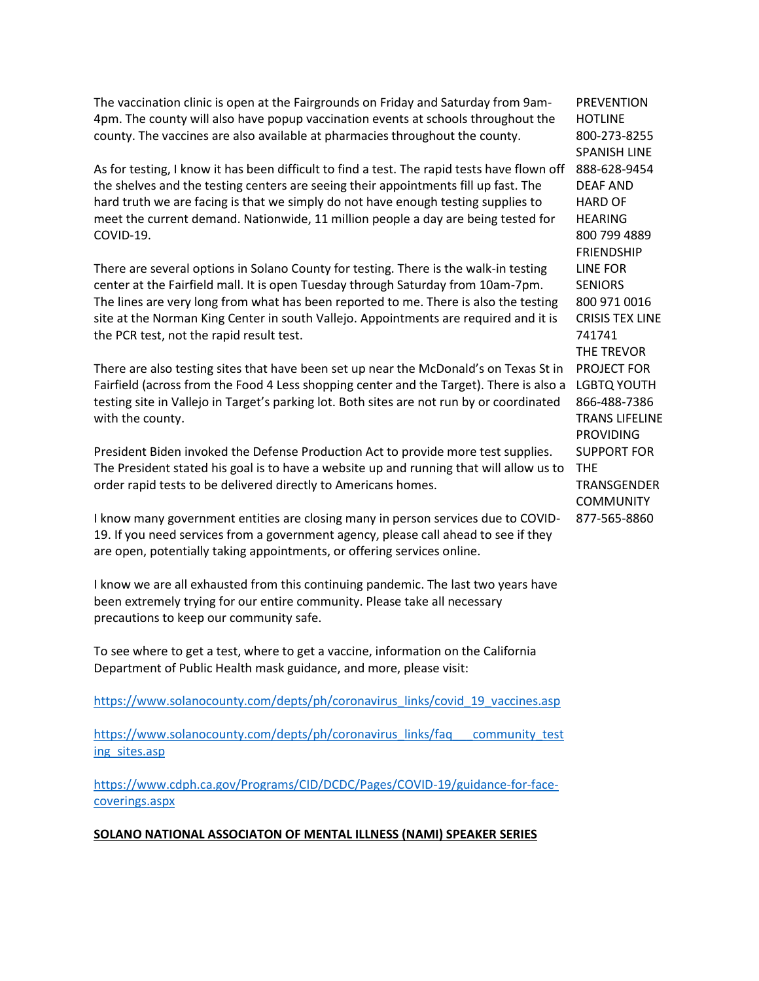The vaccination clinic is open at the Fairgrounds on Friday and Saturday from 9am-4pm. The county will also have popup vaccination events at schools throughout the county. The vaccines are also available at pharmacies throughout the county.

As for testing, I know it has been difficult to find a test. The rapid tests have flown off the shelves and the testing centers are seeing their appointments fill up fast. The hard truth we are facing is that we simply do not have enough testing supplies to meet the current demand. Nationwide, 11 million people a day are being tested for COVID-19.

There are several options in Solano County for testing. There is the walk-in testing center at the Fairfield mall. It is open Tuesday through Saturday from 10am-7pm. The lines are very long from what has been reported to me. There is also the testing site at the Norman King Center in south Vallejo. Appointments are required and it is the PCR test, not the rapid result test.

There are also testing sites that have been set up near the McDonald's on Texas St in Fairfield (across from the Food 4 Less shopping center and the Target). There is also a LGBTQ YOUTH testing site in Vallejo in Target's parking lot. Both sites are not run by or coordinated with the county.

President Biden invoked the Defense Production Act to provide more test supplies. The President stated his goal is to have a website up and running that will allow us to order rapid tests to be delivered directly to Americans homes.

I know many government entities are closing many in person services due to COVID-19. If you need services from a government agency, please call ahead to see if they are open, potentially taking appointments, or offering services online.

I know we are all exhausted from this continuing pandemic. The last two years have been extremely trying for our entire community. Please take all necessary precautions to keep our community safe.

To see where to get a test, where to get a vaccine, information on the California Department of Public Health mask guidance, and more, please visit:

[https://www.solanocounty.com/depts/ph/coronavirus\\_links/covid\\_19\\_vaccines.asp](https://www.solanocounty.com/depts/ph/coronavirus_links/covid_19_vaccines.asp)

[https://www.solanocounty.com/depts/ph/coronavirus\\_links/faq\\_\\_\\_community\\_test](https://www.solanocounty.com/depts/ph/coronavirus_links/faq___community_testing_sites.asp) [ing\\_sites.asp](https://www.solanocounty.com/depts/ph/coronavirus_links/faq___community_testing_sites.asp)

[https://www.cdph.ca.gov/Programs/CID/DCDC/Pages/COVID-19/guidance-for-face](https://www.cdph.ca.gov/Programs/CID/DCDC/Pages/COVID-19/guidance-for-face-coverings.aspx)[coverings.aspx](https://www.cdph.ca.gov/Programs/CID/DCDC/Pages/COVID-19/guidance-for-face-coverings.aspx)

### **SOLANO NATIONAL ASSOCIATON OF MENTAL ILLNESS (NAMI) SPEAKER SERIES**

**PREVENTION** HOTLINE 800-273-8255 SPANISH LINE 888-628-9454 DEAF AND HARD OF HEARING 800 799 4889 FRIENDSHIP LINE FOR **SENIORS** 800 971 0016 CRISIS TEX LINE 741741 THE TREVOR PROJECT FOR 866-488-7386 TRANS LIFELINE PROVIDING SUPPORT FOR THE **TRANSGENDER COMMUNITY** 877-565-8860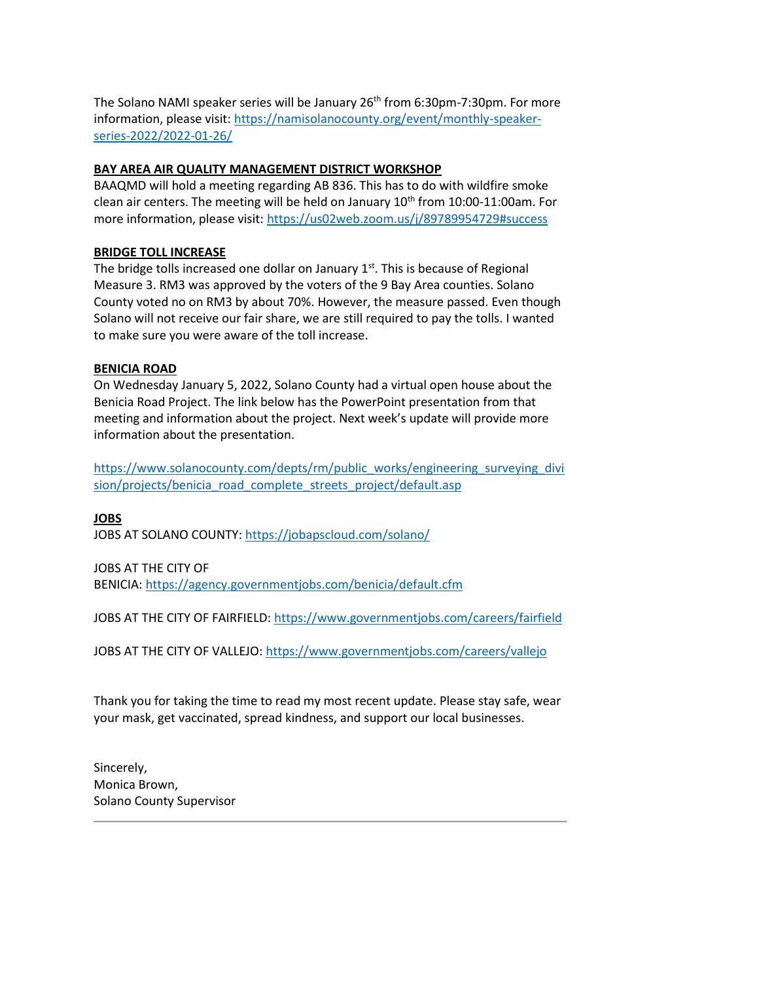The Solano NAMI speaker series will be January 26<sup>th</sup> from 6:30pm-7:30pm. For more information, please visit: [https://namisolanocounty.org/event/monthly-speaker](https://namisolanocounty.org/event/monthly-speaker-series-2022/2022-01-26/)[series-2022/2022-01-26/](https://namisolanocounty.org/event/monthly-speaker-series-2022/2022-01-26/)

### **BAY AREA AIR QUALITY MANAGEMENT DISTRICT WORKSHOP**

BAAQMD will hold a meeting regarding AB 836. This has to do with wildfire smoke clean air centers. The meeting will be held on January  $10<sup>th</sup>$  from  $10:00-11:00$ am. For more information, please visit: <https://us02web.zoom.us/j/89789954729#success>

### **BRIDGE TOLL INCREASE**

The bridge tolls increased one dollar on January  $1<sup>st</sup>$ . This is because of Regional Measure 3. RM3 was approved by the voters of the 9 Bay Area counties. Solano County voted no on RM3 by about 70%. However, the measure passed. Even though Solano will not receive our fair share, we are still required to pay the tolls. I wanted to make sure you were aware of the toll increase.

## **BENICIA ROAD**

On Wednesday January 5, 2022, Solano County had a virtual open house about the Benicia Road Project. The link below has the PowerPoint presentation from that meeting and information about the project. Next week's update will provide more information about the presentation.

[https://www.solanocounty.com/depts/rm/public\\_works/engineering\\_surveying\\_divi](https://www.solanocounty.com/depts/rm/public_works/engineering_surveying_division/projects/benicia_road_complete_streets_project/default.asp) [sion/projects/benicia\\_road\\_complete\\_streets\\_project/default.asp](https://www.solanocounty.com/depts/rm/public_works/engineering_surveying_division/projects/benicia_road_complete_streets_project/default.asp)

# **JOBS**

JOBS AT SOLANO COUNTY: <https://jobapscloud.com/solano/>

# JOBS AT THE CITY OF

BENICIA: <https://agency.governmentjobs.com/benicia/default.cfm>

JOBS AT THE CITY OF FAIRFIELD: <https://www.governmentjobs.com/careers/fairfield>

JOBS AT THE CITY OF VALLEJO: <https://www.governmentjobs.com/careers/vallejo>

Thank you for taking the time to read my most recent update. Please stay safe, wear your mask, get vaccinated, spread kindness, and support our local businesses.

Sincerely, Monica Brown, Solano County Supervisor